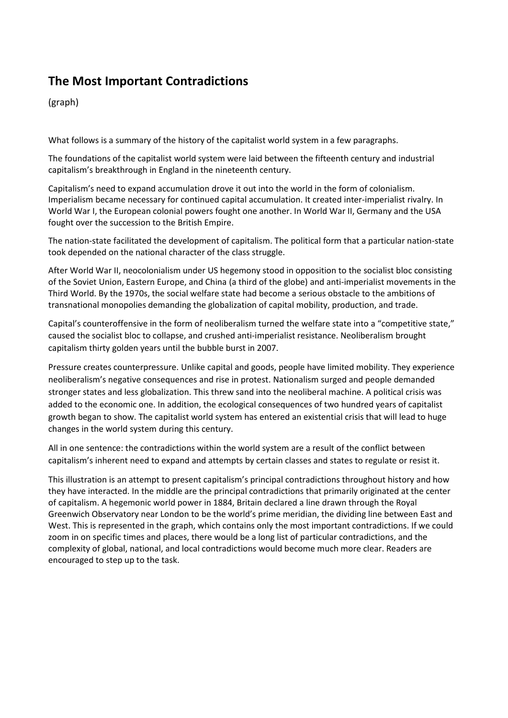## **The Most Important Contradictions**

(graph)

What follows is a summary of the history of the capitalist world system in a few paragraphs.

The foundations of the capitalist world system were laid between the fifteenth century and industrial capitalism's breakthrough in England in the nineteenth century.

Capitalism's need to expand accumulation drove it out into the world in the form of colonialism. Imperialism became necessary for continued capital accumulation. It created inter-imperialist rivalry. In World War I, the European colonial powers fought one another. In World War II, Germany and the USA fought over the succession to the British Empire.

The nation-state facilitated the development of capitalism. The political form that a particular nation-state took depended on the national character of the class struggle.

After World War II, neocolonialism under US hegemony stood in opposition to the socialist bloc consisting of the Soviet Union, Eastern Europe, and China (a third of the globe) and anti-imperialist movements in the Third World. By the 1970s, the social welfare state had become a serious obstacle to the ambitions of transnational monopolies demanding the globalization of capital mobility, production, and trade.

Capital's counteroffensive in the form of neoliberalism turned the welfare state into a "competitive state," caused the socialist bloc to collapse, and crushed anti-imperialist resistance. Neoliberalism brought capitalism thirty golden years until the bubble burst in 2007.

Pressure creates counterpressure. Unlike capital and goods, people have limited mobility. They experience neoliberalism's negative consequences and rise in protest. Nationalism surged and people demanded stronger states and less globalization. This threw sand into the neoliberal machine. A political crisis was added to the economic one. In addition, the ecological consequences of two hundred years of capitalist growth began to show. The capitalist world system has entered an existential crisis that will lead to huge changes in the world system during this century.

All in one sentence: the contradictions within the world system are a result of the conflict between capitalism's inherent need to expand and attempts by certain classes and states to regulate or resist it.

This illustration is an attempt to present capitalism's principal contradictions throughout history and how they have interacted. In the middle are the principal contradictions that primarily originated at the center of capitalism. A hegemonic world power in 1884, Britain declared a line drawn through the Royal Greenwich Observatory near London to be the world's prime meridian, the dividing line between East and West. This is represented in the graph, which contains only the most important contradictions. If we could zoom in on specific times and places, there would be a long list of particular contradictions, and the complexity of global, national, and local contradictions would become much more clear. Readers are encouraged to step up to the task.